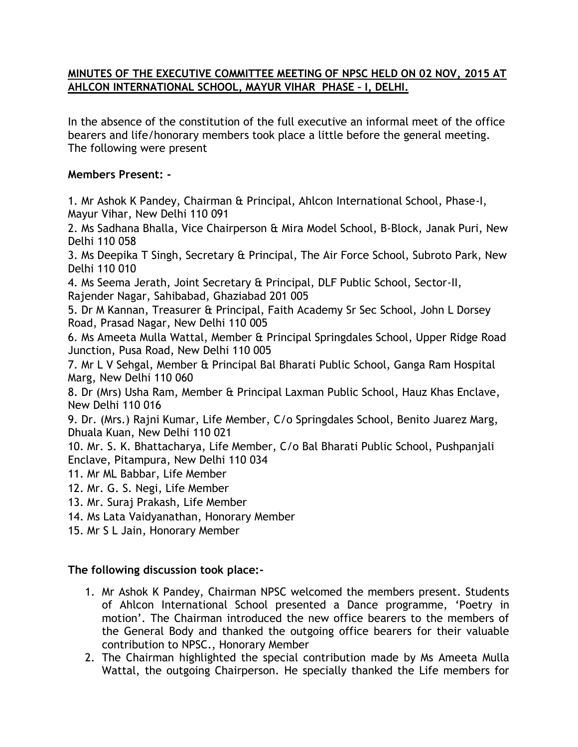## **MINUTES OF THE EXECUTIVE COMMITTEE MEETING OF NPSC HELD ON 02 NOV, 2015 AT AHLCON INTERNATIONAL SCHOOL, MAYUR VIHAR PHASE – I, DELHI.**

In the absence of the constitution of the full executive an informal meet of the office bearers and life/honorary members took place a little before the general meeting. The following were present

## **Members Present: -**

1. Mr Ashok K Pandey, Chairman & Principal, Ahlcon International School, Phase-I, Mayur Vihar, New Delhi 110 091

2. Ms Sadhana Bhalla, Vice Chairperson & Mira Model School, B-Block, Janak Puri, New Delhi 110 058

3. Ms Deepika T Singh, Secretary & Principal, The Air Force School, Subroto Park, New Delhi 110 010

4. Ms Seema Jerath, Joint Secretary & Principal, DLF Public School, Sector-II, Rajender Nagar, Sahibabad, Ghaziabad 201 005

5. Dr M Kannan, Treasurer & Principal, Faith Academy Sr Sec School, John L Dorsey Road, Prasad Nagar, New Delhi 110 005

6. Ms Ameeta Mulla Wattal, Member & Principal Springdales School, Upper Ridge Road Junction, Pusa Road, New Delhi 110 005

7. Mr L V Sehgal, Member & Principal Bal Bharati Public School, Ganga Ram Hospital Marg, New Delhi 110 060

8. Dr (Mrs) Usha Ram, Member & Principal Laxman Public School, Hauz Khas Enclave, New Delhi 110 016

9. Dr. (Mrs.) Rajni Kumar, Life Member, C/o Springdales School, Benito Juarez Marg, Dhuala Kuan, New Delhi 110 021

10. Mr. S. K. Bhattacharya, Life Member, C/o Bal Bharati Public School, Pushpanjali Enclave, Pitampura, New Delhi 110 034

- 11. Mr ML Babbar, Life Member
- 12. Mr. G. S. Negi, Life Member
- 13. Mr. Suraj Prakash, Life Member
- 14. Ms Lata Vaidyanathan, Honorary Member
- 15. Mr S L Jain, Honorary Member

## **The following discussion took place:-**

- 1. Mr Ashok K Pandey, Chairman NPSC welcomed the members present. Students of Ahlcon International School presented a Dance programme, 'Poetry in motion'. The Chairman introduced the new office bearers to the members of the General Body and thanked the outgoing office bearers for their valuable contribution to NPSC., Honorary Member
- 2. The Chairman highlighted the special contribution made by Ms Ameeta Mulla Wattal, the outgoing Chairperson. He specially thanked the Life members for